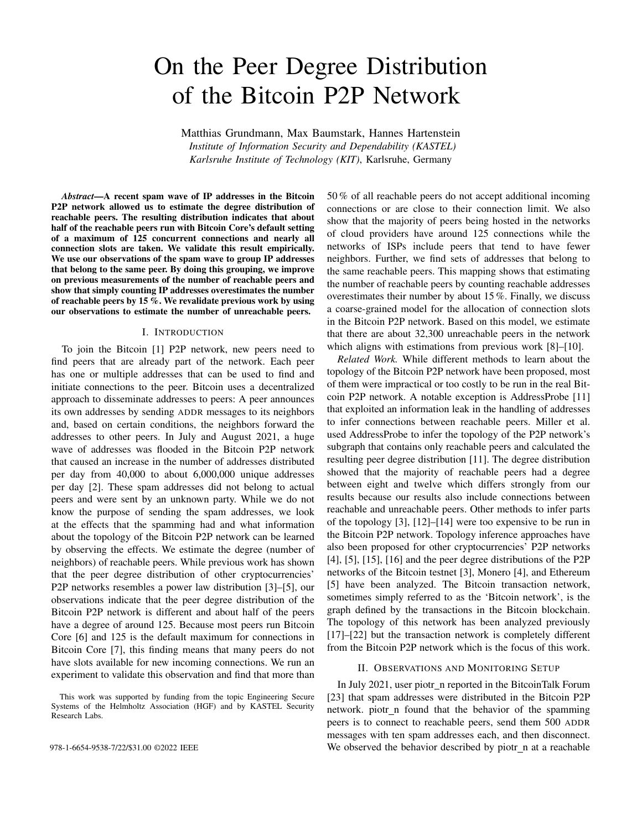# On the Peer Degree Distribution of the Bitcoin P2P Network

Matthias Grundmann, Max Baumstark, Hannes Hartenstein *Institute of Information Security and Dependability (KASTEL) Karlsruhe Institute of Technology (KIT)*, Karlsruhe, Germany

*Abstract*—A recent spam wave of IP addresses in the Bitcoin P2P network allowed us to estimate the degree distribution of reachable peers. The resulting distribution indicates that about half of the reachable peers run with Bitcoin Core's default setting of a maximum of 125 concurrent connections and nearly all connection slots are taken. We validate this result empirically. We use our observations of the spam wave to group IP addresses that belong to the same peer. By doing this grouping, we improve on previous measurements of the number of reachable peers and show that simply counting IP addresses overestimates the number of reachable peers by 15 %. We revalidate previous work by using our observations to estimate the number of unreachable peers.

#### I. INTRODUCTION

To join the Bitcoin [1] P2P network, new peers need to find peers that are already part of the network. Each peer has one or multiple addresses that can be used to find and initiate connections to the peer. Bitcoin uses a decentralized approach to disseminate addresses to peers: A peer announces its own addresses by sending ADDR messages to its neighbors and, based on certain conditions, the neighbors forward the addresses to other peers. In July and August 2021, a huge wave of addresses was flooded in the Bitcoin P2P network that caused an increase in the number of addresses distributed per day from 40,000 to about 6,000,000 unique addresses per day [2]. These spam addresses did not belong to actual peers and were sent by an unknown party. While we do not know the purpose of sending the spam addresses, we look at the effects that the spamming had and what information about the topology of the Bitcoin P2P network can be learned by observing the effects. We estimate the degree (number of neighbors) of reachable peers. While previous work has shown that the peer degree distribution of other cryptocurrencies' P2P networks resembles a power law distribution [3]–[5], our observations indicate that the peer degree distribution of the Bitcoin P2P network is different and about half of the peers have a degree of around 125. Because most peers run Bitcoin Core [6] and 125 is the default maximum for connections in Bitcoin Core [7], this finding means that many peers do not have slots available for new incoming connections. We run an experiment to validate this observation and find that more than

50 % of all reachable peers do not accept additional incoming connections or are close to their connection limit. We also show that the majority of peers being hosted in the networks of cloud providers have around 125 connections while the networks of ISPs include peers that tend to have fewer neighbors. Further, we find sets of addresses that belong to the same reachable peers. This mapping shows that estimating the number of reachable peers by counting reachable addresses overestimates their number by about 15 %. Finally, we discuss a coarse-grained model for the allocation of connection slots in the Bitcoin P2P network. Based on this model, we estimate that there are about 32,300 unreachable peers in the network which aligns with estimations from previous work [8]–[10].

*Related Work.* While different methods to learn about the topology of the Bitcoin P2P network have been proposed, most of them were impractical or too costly to be run in the real Bitcoin P2P network. A notable exception is AddressProbe [11] that exploited an information leak in the handling of addresses to infer connections between reachable peers. Miller et al. used AddressProbe to infer the topology of the P2P network's subgraph that contains only reachable peers and calculated the resulting peer degree distribution [11]. The degree distribution showed that the majority of reachable peers had a degree between eight and twelve which differs strongly from our results because our results also include connections between reachable and unreachable peers. Other methods to infer parts of the topology [3], [12]–[14] were too expensive to be run in the Bitcoin P2P network. Topology inference approaches have also been proposed for other cryptocurrencies' P2P networks [4], [5], [15], [16] and the peer degree distributions of the P2P networks of the Bitcoin testnet [3], Monero [4], and Ethereum [5] have been analyzed. The Bitcoin transaction network, sometimes simply referred to as the 'Bitcoin network', is the graph defined by the transactions in the Bitcoin blockchain. The topology of this network has been analyzed previously [17]–[22] but the transaction network is completely different from the Bitcoin P2P network which is the focus of this work.

#### II. OBSERVATIONS AND MONITORING SETUP

In July 2021, user piotr\_n reported in the BitcoinTalk Forum [23] that spam addresses were distributed in the Bitcoin P2P network. piotr\_n found that the behavior of the spamming peers is to connect to reachable peers, send them 500 ADDR messages with ten spam addresses each, and then disconnect. 978-1-6654-9538-7/22/\$31.00 ©2022 IEEE We observed the behavior described by piotr n at a reachable

This work was supported by funding from the topic Engineering Secure Systems of the Helmholtz Association (HGF) and by KASTEL Security Research Labs.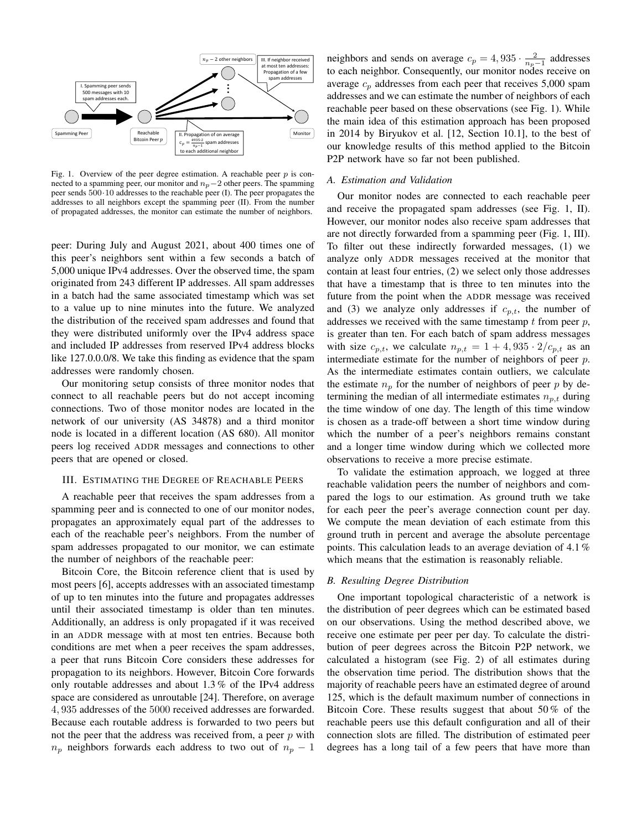

Fig. 1. Overview of the peer degree estimation. A reachable peer  $p$  is connected to a spamming peer, our monitor and  $n_p-2$  other peers. The spamming peer sends 500·10 addresses to the reachable peer (I). The peer propagates the addresses to all neighbors except the spamming peer (II). From the number of propagated addresses, the monitor can estimate the number of neighbors.

peer: During July and August 2021, about 400 times one of this peer's neighbors sent within a few seconds a batch of 5,000 unique IPv4 addresses. Over the observed time, the spam originated from 243 different IP addresses. All spam addresses in a batch had the same associated timestamp which was set to a value up to nine minutes into the future. We analyzed the distribution of the received spam addresses and found that they were distributed uniformly over the IPv4 address space and included IP addresses from reserved IPv4 address blocks like 127.0.0.0/8. We take this finding as evidence that the spam addresses were randomly chosen.

Our monitoring setup consists of three monitor nodes that connect to all reachable peers but do not accept incoming connections. Two of those monitor nodes are located in the network of our university (AS 34878) and a third monitor node is located in a different location (AS 680). All monitor peers log received ADDR messages and connections to other peers that are opened or closed.

### III. ESTIMATING THE DEGREE OF REACHABLE PEERS

A reachable peer that receives the spam addresses from a spamming peer and is connected to one of our monitor nodes, propagates an approximately equal part of the addresses to each of the reachable peer's neighbors. From the number of spam addresses propagated to our monitor, we can estimate the number of neighbors of the reachable peer:

Bitcoin Core, the Bitcoin reference client that is used by most peers [6], accepts addresses with an associated timestamp of up to ten minutes into the future and propagates addresses until their associated timestamp is older than ten minutes. Additionally, an address is only propagated if it was received in an ADDR message with at most ten entries. Because both conditions are met when a peer receives the spam addresses, a peer that runs Bitcoin Core considers these addresses for propagation to its neighbors. However, Bitcoin Core forwards only routable addresses and about 1.3 % of the IPv4 address space are considered as unroutable [24]. Therefore, on average 4, 935 addresses of the 5000 received addresses are forwarded. Because each routable address is forwarded to two peers but not the peer that the address was received from, a peer  $p$  with  $n_p$  neighbors forwards each address to two out of  $n_p - 1$ 

neighbors and sends on average  $c_p = 4,935 \cdot \frac{2}{n_p-1}$  addresses to each neighbor. Consequently, our monitor nodes receive on average  $c_p$  addresses from each peer that receives 5,000 spam addresses and we can estimate the number of neighbors of each reachable peer based on these observations (see Fig. 1). While the main idea of this estimation approach has been proposed in 2014 by Biryukov et al. [12, Section 10.1], to the best of our knowledge results of this method applied to the Bitcoin P2P network have so far not been published.

## *A. Estimation and Validation*

Our monitor nodes are connected to each reachable peer and receive the propagated spam addresses (see Fig. 1, II). However, our monitor nodes also receive spam addresses that are not directly forwarded from a spamming peer (Fig. 1, III). To filter out these indirectly forwarded messages, (1) we analyze only ADDR messages received at the monitor that contain at least four entries, (2) we select only those addresses that have a timestamp that is three to ten minutes into the future from the point when the ADDR message was received and (3) we analyze only addresses if  $c_{p,t}$ , the number of addresses we received with the same timestamp  $t$  from peer  $p$ , is greater than ten. For each batch of spam address messages with size  $c_{p,t}$ , we calculate  $n_{p,t} = 1 + 4,935 \cdot 2/c_{p,t}$  as an intermediate estimate for the number of neighbors of peer p. As the intermediate estimates contain outliers, we calculate the estimate  $n_p$  for the number of neighbors of peer p by determining the median of all intermediate estimates  $n_{p,t}$  during the time window of one day. The length of this time window is chosen as a trade-off between a short time window during which the number of a peer's neighbors remains constant and a longer time window during which we collected more observations to receive a more precise estimate.

To validate the estimation approach, we logged at three reachable validation peers the number of neighbors and compared the logs to our estimation. As ground truth we take for each peer the peer's average connection count per day. We compute the mean deviation of each estimate from this ground truth in percent and average the absolute percentage points. This calculation leads to an average deviation of 4.1 % which means that the estimation is reasonably reliable.

## *B. Resulting Degree Distribution*

One important topological characteristic of a network is the distribution of peer degrees which can be estimated based on our observations. Using the method described above, we receive one estimate per peer per day. To calculate the distribution of peer degrees across the Bitcoin P2P network, we calculated a histogram (see Fig. 2) of all estimates during the observation time period. The distribution shows that the majority of reachable peers have an estimated degree of around 125, which is the default maximum number of connections in Bitcoin Core. These results suggest that about 50 % of the reachable peers use this default configuration and all of their connection slots are filled. The distribution of estimated peer degrees has a long tail of a few peers that have more than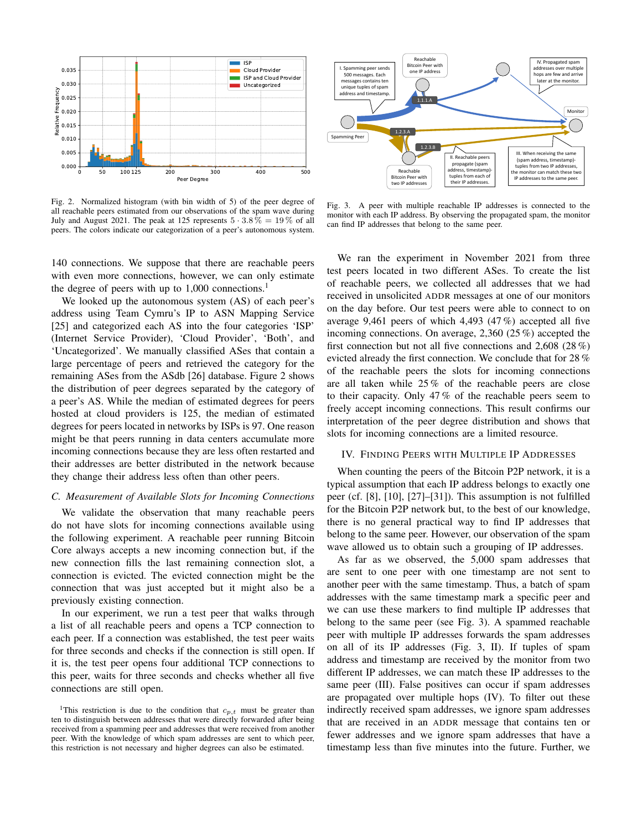

Fig. 2. Normalized histogram (with bin width of 5) of the peer degree of all reachable peers estimated from our observations of the spam wave during July and August 2021. The peak at 125 represents  $5 \cdot 3.8\% = 19\%$  of all peers. The colors indicate our categorization of a peer's autonomous system.

140 connections. We suppose that there are reachable peers with even more connections, however, we can only estimate the degree of peers with up to  $1,000$  connections.<sup>1</sup>

We looked up the autonomous system (AS) of each peer's address using Team Cymru's IP to ASN Mapping Service [25] and categorized each AS into the four categories 'ISP' (Internet Service Provider), 'Cloud Provider', 'Both', and 'Uncategorized'. We manually classified ASes that contain a large percentage of peers and retrieved the category for the remaining ASes from the ASdb [26] database. Figure 2 shows the distribution of peer degrees separated by the category of a peer's AS. While the median of estimated degrees for peers hosted at cloud providers is 125, the median of estimated degrees for peers located in networks by ISPs is 97. One reason might be that peers running in data centers accumulate more incoming connections because they are less often restarted and their addresses are better distributed in the network because they change their address less often than other peers.

#### *C. Measurement of Available Slots for Incoming Connections*

We validate the observation that many reachable peers do not have slots for incoming connections available using the following experiment. A reachable peer running Bitcoin Core always accepts a new incoming connection but, if the new connection fills the last remaining connection slot, a connection is evicted. The evicted connection might be the connection that was just accepted but it might also be a previously existing connection.

In our experiment, we run a test peer that walks through a list of all reachable peers and opens a TCP connection to each peer. If a connection was established, the test peer waits for three seconds and checks if the connection is still open. If it is, the test peer opens four additional TCP connections to this peer, waits for three seconds and checks whether all five connections are still open.



Fig. 3. A peer with multiple reachable IP addresses is connected to the monitor with each IP address. By observing the propagated spam, the monitor can find IP addresses that belong to the same peer.

We ran the experiment in November 2021 from three test peers located in two different ASes. To create the list of reachable peers, we collected all addresses that we had received in unsolicited ADDR messages at one of our monitors on the day before. Our test peers were able to connect to on average 9,461 peers of which 4,493 (47 %) accepted all five incoming connections. On average, 2,360 (25 %) accepted the first connection but not all five connections and 2,608 (28 %) evicted already the first connection. We conclude that for 28 % of the reachable peers the slots for incoming connections are all taken while 25 % of the reachable peers are close to their capacity. Only 47 % of the reachable peers seem to freely accept incoming connections. This result confirms our interpretation of the peer degree distribution and shows that slots for incoming connections are a limited resource.

# IV. FINDING PEERS WITH MULTIPLE IP ADDRESSES

When counting the peers of the Bitcoin P2P network, it is a typical assumption that each IP address belongs to exactly one peer (cf. [8], [10], [27]–[31]). This assumption is not fulfilled for the Bitcoin P2P network but, to the best of our knowledge, there is no general practical way to find IP addresses that belong to the same peer. However, our observation of the spam wave allowed us to obtain such a grouping of IP addresses.

As far as we observed, the 5,000 spam addresses that are sent to one peer with one timestamp are not sent to another peer with the same timestamp. Thus, a batch of spam addresses with the same timestamp mark a specific peer and we can use these markers to find multiple IP addresses that belong to the same peer (see Fig. 3). A spammed reachable peer with multiple IP addresses forwards the spam addresses on all of its IP addresses (Fig. 3, II). If tuples of spam address and timestamp are received by the monitor from two different IP addresses, we can match these IP addresses to the same peer (III). False positives can occur if spam addresses are propagated over multiple hops (IV). To filter out these indirectly received spam addresses, we ignore spam addresses that are received in an ADDR message that contains ten or fewer addresses and we ignore spam addresses that have a timestamp less than five minutes into the future. Further, we

<sup>&</sup>lt;sup>1</sup>This restriction is due to the condition that  $c_{p,t}$  must be greater than ten to distinguish between addresses that were directly forwarded after being received from a spamming peer and addresses that were received from another peer. With the knowledge of which spam addresses are sent to which peer, this restriction is not necessary and higher degrees can also be estimated.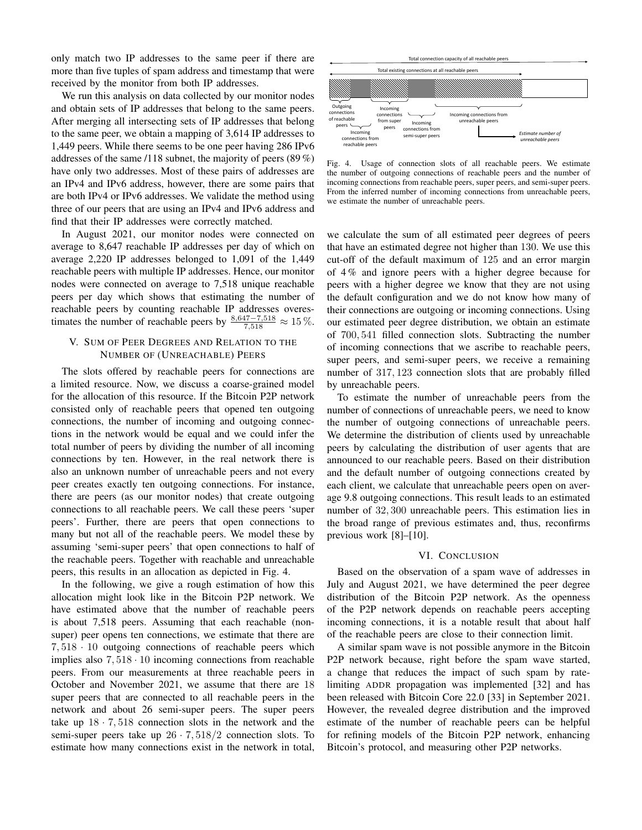only match two IP addresses to the same peer if there are more than five tuples of spam address and timestamp that were received by the monitor from both IP addresses.

We run this analysis on data collected by our monitor nodes and obtain sets of IP addresses that belong to the same peers. After merging all intersecting sets of IP addresses that belong to the same peer, we obtain a mapping of 3,614 IP addresses to 1,449 peers. While there seems to be one peer having 286 IPv6 addresses of the same /118 subnet, the majority of peers (89 %) have only two addresses. Most of these pairs of addresses are an IPv4 and IPv6 address, however, there are some pairs that are both IPv4 or IPv6 addresses. We validate the method using three of our peers that are using an IPv4 and IPv6 address and find that their IP addresses were correctly matched.

In August 2021, our monitor nodes were connected on average to 8,647 reachable IP addresses per day of which on average 2,220 IP addresses belonged to 1,091 of the 1,449 reachable peers with multiple IP addresses. Hence, our monitor nodes were connected on average to 7,518 unique reachable peers per day which shows that estimating the number of reachable peers by counting reachable IP addresses overestimates the number of reachable peers by  $\frac{8,647-7,518}{7,518} \approx 15\%$ .

# V. SUM OF PEER DEGREES AND RELATION TO THE NUMBER OF (UNREACHABLE) PEERS

The slots offered by reachable peers for connections are a limited resource. Now, we discuss a coarse-grained model for the allocation of this resource. If the Bitcoin P2P network consisted only of reachable peers that opened ten outgoing connections, the number of incoming and outgoing connections in the network would be equal and we could infer the total number of peers by dividing the number of all incoming connections by ten. However, in the real network there is also an unknown number of unreachable peers and not every peer creates exactly ten outgoing connections. For instance, there are peers (as our monitor nodes) that create outgoing connections to all reachable peers. We call these peers 'super peers'. Further, there are peers that open connections to many but not all of the reachable peers. We model these by assuming 'semi-super peers' that open connections to half of the reachable peers. Together with reachable and unreachable peers, this results in an allocation as depicted in Fig. 4.

In the following, we give a rough estimation of how this allocation might look like in the Bitcoin P2P network. We have estimated above that the number of reachable peers is about 7,518 peers. Assuming that each reachable (nonsuper) peer opens ten connections, we estimate that there are  $7,518 \cdot 10$  outgoing connections of reachable peers which implies also  $7,518 \cdot 10$  incoming connections from reachable peers. From our measurements at three reachable peers in October and November 2021, we assume that there are 18 super peers that are connected to all reachable peers in the network and about 26 semi-super peers. The super peers take up  $18 \cdot 7,518$  connection slots in the network and the semi-super peers take up  $26 \cdot 7,518/2$  connection slots. To estimate how many connections exist in the network in total,



Fig. 4. Usage of connection slots of all reachable peers. We estimate the number of outgoing connections of reachable peers and the number of incoming connections from reachable peers, super peers, and semi-super peers. From the inferred number of incoming connections from unreachable peers, we estimate the number of unreachable peers.

we calculate the sum of all estimated peer degrees of peers that have an estimated degree not higher than 130. We use this cut-off of the default maximum of 125 and an error margin of 4 % and ignore peers with a higher degree because for peers with a higher degree we know that they are not using the default configuration and we do not know how many of their connections are outgoing or incoming connections. Using our estimated peer degree distribution, we obtain an estimate of 700, 541 filled connection slots. Subtracting the number of incoming connections that we ascribe to reachable peers, super peers, and semi-super peers, we receive a remaining number of 317, 123 connection slots that are probably filled by unreachable peers.

To estimate the number of unreachable peers from the number of connections of unreachable peers, we need to know the number of outgoing connections of unreachable peers. We determine the distribution of clients used by unreachable peers by calculating the distribution of user agents that are announced to our reachable peers. Based on their distribution and the default number of outgoing connections created by each client, we calculate that unreachable peers open on average 9.8 outgoing connections. This result leads to an estimated number of 32, 300 unreachable peers. This estimation lies in the broad range of previous estimates and, thus, reconfirms previous work [8]–[10].

#### VI. CONCLUSION

Based on the observation of a spam wave of addresses in July and August 2021, we have determined the peer degree distribution of the Bitcoin P2P network. As the openness of the P2P network depends on reachable peers accepting incoming connections, it is a notable result that about half of the reachable peers are close to their connection limit.

A similar spam wave is not possible anymore in the Bitcoin P2P network because, right before the spam wave started, a change that reduces the impact of such spam by ratelimiting ADDR propagation was implemented [32] and has been released with Bitcoin Core 22.0 [33] in September 2021. However, the revealed degree distribution and the improved estimate of the number of reachable peers can be helpful for refining models of the Bitcoin P2P network, enhancing Bitcoin's protocol, and measuring other P2P networks.